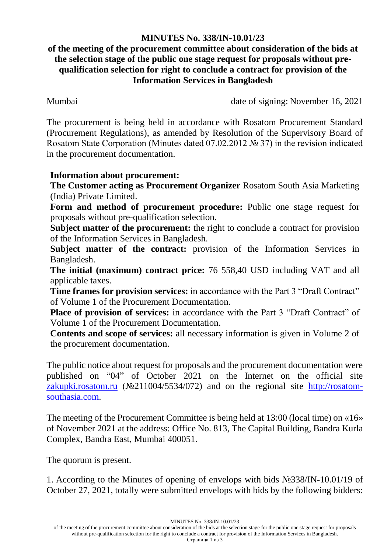## **MINUTES No. 338/IN-10.01/23**

## **of the meeting of the procurement committee about consideration of the bids at the selection stage of the public one stage request for proposals without prequalification selection for right to conclude a contract for provision of the Information Services in Bangladesh**

Mumbai date of signing: November 16, 2021

The procurement is being held in accordance with Rosatom Procurement Standard (Procurement Regulations), as amended by Resolution of the Supervisory Board of Rosatom State Corporation (Minutes dated 07.02.2012 № 37) in the revision indicated in the procurement documentation.

## **Information about procurement:**

**The Customer acting as Procurement Organizer** Rosatom South Asia Marketing (India) Private Limited.

**Form and method of procurement procedure:** Public one stage request for proposals without pre-qualification selection.

**Subject matter of the procurement:** the right to conclude a contract for provision of the Information Services in Bangladesh.

**Subject matter of the contract:** provision of the Information Services in Bangladesh.

**The initial (maximum) contract price:** 76 558,40 USD including VAT and all applicable taxes.

**Time frames for provision services:** in accordance with the Part 3 "Draft Contract" of Volume 1 of the Procurement Documentation.

**Place of provision of services:** in accordance with the Part 3 "Draft Contract" of Volume 1 of the Procurement Documentation.

**Contents and scope of services:** all necessary information is given in Volume 2 of the procurement documentation.

The public notice about request for proposals and the procurement documentation were published on "04" of October 2021 on the Internet on the official site [zakupki.rosatom.ru](http://zakupki.rosatom.ru/) (№211004/5534/072) and on the regional site http://rosatomsouthasia.com.

The meeting of the Procurement Committee is being held at 13:00 (local time) on «16» of November 2021 at the address: Office No. 813, The Capital Building, Bandra Kurla Complex, Bandra East, Mumbai 400051.

The quorum is present.

1. According to the Minutes of opening of envelops with bids №338/IN-10.01/19 of October 27, 2021, totally were submitted envelops with bids by the following bidders:

MINUTES No. 338/IN-10.01/23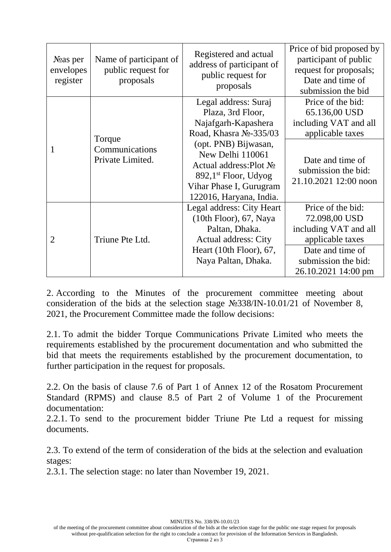| $N2$ as per<br>envelopes<br>register | Name of participant of<br>public request for<br>proposals | Registered and actual<br>address of participant of<br>public request for<br>proposals                                                                      | Price of bid proposed by<br>participant of public<br>request for proposals;<br>Date and time of<br>submission the bid                             |
|--------------------------------------|-----------------------------------------------------------|------------------------------------------------------------------------------------------------------------------------------------------------------------|---------------------------------------------------------------------------------------------------------------------------------------------------|
| 1                                    | Torque<br>Communications<br>Private Limited.              | Legal address: Suraj<br>Plaza, 3rd Floor,<br>Najafgarh-Kapashera<br>Road, Khasra No-335/03                                                                 | Price of the bid:<br>65.136,00 USD<br>including VAT and all<br>applicable taxes                                                                   |
|                                      |                                                           | (opt. PNB) Bijwasan,<br>New Delhi 110061<br>Actual address: Plot No<br>$892,1st$ Floor, Udyog<br>Vihar Phase I, Gurugram<br>122016, Haryana, India.        | Date and time of<br>submission the bid:<br>21.10.2021 12:00 noon                                                                                  |
| $\overline{2}$                       | Triune Pte Ltd.                                           | Legal address: City Heart<br>$(10th$ Floor), 67, Naya<br>Paltan, Dhaka.<br><b>Actual address: City</b><br>Heart $(10th$ Floor), 67,<br>Naya Paltan, Dhaka. | Price of the bid:<br>72.098,00 USD<br>including VAT and all<br>applicable taxes<br>Date and time of<br>submission the bid:<br>26.10.2021 14:00 pm |

2. According to the Minutes of the procurement committee meeting about consideration of the bids at the selection stage №338/IN-10.01/21 of November 8, 2021, the Procurement Committee made the follow decisions:

2.1. To admit the bidder Torque Communications Private Limited who meets the requirements established by the procurement documentation and who submitted the bid that meets the requirements established by the procurement documentation, to further participation in the request for proposals.

2.2. On the basis of clause 7.6 of Part 1 of Annex 12 of the Rosatom Procurement Standard (RPMS) and clause 8.5 of Part 2 of Volume 1 of the Procurement documentation:

2.2.1. To send to the procurement bidder Triune Pte Ltd a request for missing documents.

2.3. To extend of the term of consideration of the bids at the selection and evaluation stages:

2.3.1. The selection stage: no later than November 19, 2021.

MINUTES No. 338/IN-10.01/23